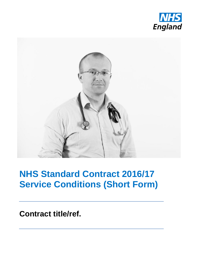



## **NHS Standard Contract 2016/17 Service Conditions (Short Form)**

**Contract title/ref.**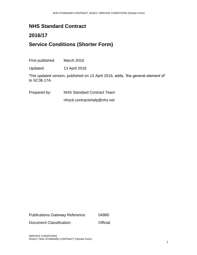## **NHS Standard Contract**

## **2016/17 Service Conditions (Shorter Form)**

First published: March 2016

Updated: 13 April 2016

This updated version, published on 13 April 2016, adds, 'the general element of' to SC36.17A.

Prepared by: NHS Standard Contract Team

nhscb.contractshelp@nhs.net

Publications Gateway Reference: 04980

Document Classification: **Official**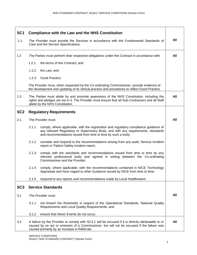| SC <sub>1</sub> | <b>Compliance with the Law and the NHS Constitution</b>                                                                                                                                                                                             |     |
|-----------------|-----------------------------------------------------------------------------------------------------------------------------------------------------------------------------------------------------------------------------------------------------|-----|
| 1.1.            | The Provider must provide the Services in accordance with the Fundamental Standards of<br>Care and the Service Specifications.                                                                                                                      | All |
| 1.2             | The Parties must perform their respective obligations under this Contract in accordance with:                                                                                                                                                       | All |
|                 | 1.2.1.<br>the terms of this Contract; and                                                                                                                                                                                                           |     |
|                 | 1.2.2. the Law; and                                                                                                                                                                                                                                 |     |
|                 | 1.2.3. Good Practice.                                                                                                                                                                                                                               |     |
|                 | The Provider must, when requested by the Co-ordinating Commissioner, provide evidence of<br>the development and updating of its clinical process and procedures to reflect Good Practice.                                                           |     |
| 1.3             | The Parties must abide by and promote awareness of the NHS Constitution, including the<br>rights and pledges set out in it. The Provider must ensure that all Sub-Contractors and all Staff<br>abide by the NHS Constitution.                       | All |
| SC <sub>2</sub> | <b>Regulatory Requirements</b>                                                                                                                                                                                                                      |     |
| 2.1             | The Provider must:                                                                                                                                                                                                                                  | All |
|                 | 2.1.1<br>comply, where applicable, with the registration and regulatory compliance guidance of<br>any relevant Regulatory or Supervisory Body, and with any requirements, standards<br>and recommendations issued from time to time by such a body; |     |
|                 | 2.1.2<br>consider and respond to the recommendations arising from any audit, Serious Incident<br>report or Patient Safety Incident report;                                                                                                          |     |
|                 | 2.1.3<br>comply with the standards and recommendations issued from time to time by any<br>relevant professional body and agreed in writing between the Co-ordinating<br>Commissioner and the Provider;                                              |     |
|                 | 2.1.4<br>comply, where applicable, with the recommendations contained in NICE Technology<br>Appraisals and have regard to other Guidance issued by NICE from time to time;                                                                          |     |
|                 | 2.1.5<br>respond to any reports and recommendations made by Local Healthwatch.                                                                                                                                                                      |     |
| SC <sub>3</sub> | <b>Service Standards</b>                                                                                                                                                                                                                            |     |
| 3.1             | The Provider must                                                                                                                                                                                                                                   | All |
|                 | 3.1.1<br>not breach the thresholds in respect of the Operational Standards, National Quality<br>Requirements and Local Quality Requirements; and                                                                                                    |     |
|                 | 3.1.2<br>ensure that Never Events do not occur.                                                                                                                                                                                                     |     |
| 3.2             | A failure by the Provider to comply with SC3.1 will be excused if it is directly attributable to or<br>caused by an act or omission of a Commissioner, but will not be excused if the failure was<br>caused primarily by an increase in Referrals.  | All |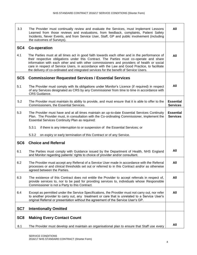| 3.3             | The Provider must continually review and evaluate the Services, must implement Lessons<br>Learned from those reviews and evaluations, from feedback, complaints, Patient Safety<br>Incidents, Never Events, and from Service User, Staff, GP and public involvement (including<br>the outcomes of Surveys).                                                                                                                                                                      | All                                 |
|-----------------|----------------------------------------------------------------------------------------------------------------------------------------------------------------------------------------------------------------------------------------------------------------------------------------------------------------------------------------------------------------------------------------------------------------------------------------------------------------------------------|-------------------------------------|
| SC4             | <b>Co-operation</b>                                                                                                                                                                                                                                                                                                                                                                                                                                                              |                                     |
| 4.1             | The Parties must at all times act in good faith towards each other and in the performance of<br>their respective obligations under this Contract. The Parties must co-operate and share<br>information with each other and with other commissioners and providers of health or social<br>care in respect of Service Users, in accordance with the Law and Good Practice, to facilitate<br>the delivery of co-ordinated and integrated services for the benefit of Service Users. | All                                 |
| SC <sub>5</sub> | <b>Commissioner Requested Services / Essential Services</b>                                                                                                                                                                                                                                                                                                                                                                                                                      |                                     |
| 5.1             | The Provider must comply with its obligations under Monitor's Licence (if required) in respect<br>of any Services designated as CRS by any Commissioner from time to time in accordance with<br>CRS Guidance.                                                                                                                                                                                                                                                                    | All                                 |
| 5.2             | The Provider must maintain its ability to provide, and must ensure that it is able to offer to the<br>Commissioners, the Essential Services.                                                                                                                                                                                                                                                                                                                                     | <b>Essential</b><br><b>Services</b> |
| 5.3             | The Provider must have and at all times maintain an up-to-date Essential Services Continuity<br>Plan. The Provider must, in consultation with the Co-ordinating Commissioner, implement the<br><b>Essential Services Continuity Plan as required:</b>                                                                                                                                                                                                                            | <b>Essential</b><br><b>Services</b> |
|                 | 5.3.1<br>if there is any interruption to or suspension of the Essential Services; or                                                                                                                                                                                                                                                                                                                                                                                             |                                     |
|                 | 5.3.2<br>on expiry or early termination of this Contract or of any Service.                                                                                                                                                                                                                                                                                                                                                                                                      |                                     |
| SC <sub>6</sub> | <b>Choice and Referral</b>                                                                                                                                                                                                                                                                                                                                                                                                                                                       |                                     |
| 6.1             | The Parties must comply with Guidance issued by the Department of Health, NHS England<br>and Monitor regarding patients' rights to choice of provider and/or consultant.                                                                                                                                                                                                                                                                                                         | All                                 |
| 6.2             | The Provider must accept any Referral of a Service User made in accordance with the Referral<br>processes or and clinical thresholds set out or referred to in this Contract and/or as otherwise<br>agreed between the Parties.                                                                                                                                                                                                                                                  | All                                 |
| 6.3             | The existence of this Contract does not entitle the Provider to accept referrals in respect of,<br>provide services to, nor to be paid for providing services to, individuals whose Responsible<br>Commissioner is not a Party to this Contract.                                                                                                                                                                                                                                 | All                                 |
| 6.4             | Except as permitted under the Service Specifications, the Provider must not carry out, nor refer<br>to another provider to carry out, any treatment or care that is unrelated to a Service User's<br>original Referral or presentation without the agreement of the Service User's GP.                                                                                                                                                                                           | All                                 |
| SC7             | <b>Intentionally Omitted</b>                                                                                                                                                                                                                                                                                                                                                                                                                                                     |                                     |
|                 |                                                                                                                                                                                                                                                                                                                                                                                                                                                                                  |                                     |
| SC <sub>8</sub> | <b>Making Every Contact Count</b>                                                                                                                                                                                                                                                                                                                                                                                                                                                |                                     |
| 8.1             | The Provider must develop and maintain an organisational plan to ensure that Staff use every                                                                                                                                                                                                                                                                                                                                                                                     | All                                 |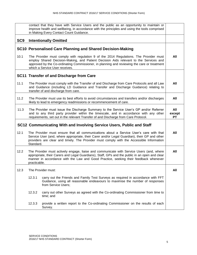|                 | contact that they have with Service Users and the public as an opportunity to maintain or<br>improve health and wellbeing, in accordance with the principles and using the tools comprised<br>in Making Every Contact Count Guidance.                                                                           |                            |
|-----------------|-----------------------------------------------------------------------------------------------------------------------------------------------------------------------------------------------------------------------------------------------------------------------------------------------------------------|----------------------------|
| SC <sub>9</sub> | <b>Intentionally Omitted</b>                                                                                                                                                                                                                                                                                    |                            |
|                 | SC10 Personalised Care Planning and Shared Decision-Making                                                                                                                                                                                                                                                      |                            |
| 10.1            | The Provider must comply with regulation 9 of the 2014 Regulations. The Provider must<br>employ Shared Decision-Making, and Patient Decision Aids relevant to the Services and<br>approved by the Co-ordinating Commissioner, in planning and reviewing the care or treatment<br>which a Service User receives. | All                        |
|                 | <b>SC11 Transfer of and Discharge from Care</b>                                                                                                                                                                                                                                                                 |                            |
| 11.1            | The Provider must comply with the Transfer of and Discharge from Care Protocols and all Law<br>and Guidance (including LD Guidance and Transfer and Discharge Guidance) relating to<br>transfer of and discharge from care.                                                                                     | All                        |
| 11.2            | The Provider must use its best efforts to avoid circumstances and transfers and/or discharges<br>likely to lead to emergency readmissions or recommencement of care.                                                                                                                                            | All                        |
| 11.3            | The Provider must issue the Discharge Summary to the Service User's GP and/or Referrer<br>and to any third party provider within the timescale, and in accordance with any other<br>requirements, set out in the relevant Transfer of and Discharge from Care Protocol.                                         | All<br>except<br><b>PT</b> |
|                 | SC12 Communicating With and Involving Service Users, Public and Staff                                                                                                                                                                                                                                           |                            |
| 12.1            | The Provider must ensure that all communications about a Service User's care with that<br>Service User (and, where appropriate, their Carer and/or Legal Guardian), their GP and other<br>providers are clear and timely. The Provider must comply with the Accessible Information<br>Standard.                 | All                        |
| 12.2            | The Provider must actively engage, liaise and communicate with Service Users (and, where<br>appropriate, their Carers and Legal Guardians), Staff, GPs and the public in an open and clear<br>manner in accordance with the Law and Good Practice, seeking their feedback whenever<br>practicable.              | All                        |
| 12.3            | The Provider must:                                                                                                                                                                                                                                                                                              | All                        |
|                 | 12.3.1<br>carry out the Friends and Family Test Surveys as required in accordance with FFT<br>Guidance, using all reasonable endeavours to maximise the number of responses<br>from Service Users;                                                                                                              |                            |
|                 | 12.3.2<br>carry out other Surveys as agreed with the Co-ordinating Commissioner from time to<br>time; and                                                                                                                                                                                                       |                            |
|                 | 12.3.3<br>provide a written report to the Co-ordinating Commissioner on the results of each<br>Survey.                                                                                                                                                                                                          |                            |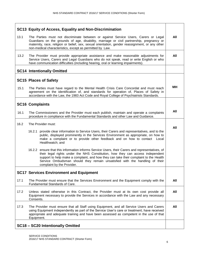| SC13 Equity of Access, Equality and Non-Discrimination                                                                                                                                                                                                                                                                                                                                  |           |
|-----------------------------------------------------------------------------------------------------------------------------------------------------------------------------------------------------------------------------------------------------------------------------------------------------------------------------------------------------------------------------------------|-----------|
| 13.1<br>The Parties must not discriminate between or against Service Users, Carers or Legal<br>Guardians on the grounds of age, disability, marriage or civil partnership, pregnancy or<br>maternity, race, religion or belief, sex, sexual orientation, gender reassignment, or any other<br>non-medical characteristics, except as permitted by Law.                                  | All       |
| 13.2<br>The Provider must provide appropriate assistance and make reasonable adjustments for<br>Service Users, Carers and Legal Guardians who do not speak, read or write English or who<br>have communication difficulties (including hearing, oral or learning impairments).                                                                                                          | All       |
| <b>SC14 Intentionally Omitted</b>                                                                                                                                                                                                                                                                                                                                                       |           |
| <b>SC15 Places of Safety</b>                                                                                                                                                                                                                                                                                                                                                            |           |
| 15.1<br>The Parties must have regard to the Mental Health Crisis Care Concordat and must reach<br>agreement on the identification of, and standards for operation of, Places of Safety in<br>accordance with the Law, the 1983 Act Code and Royal College of Psychiatrists Standards.                                                                                                   | <b>MH</b> |
| <b>SC16 Complaints</b>                                                                                                                                                                                                                                                                                                                                                                  |           |
| 16.1<br>The Commissioners and the Provider must each publish, maintain and operate a complaints<br>procedure in compliance with the Fundamental Standards and other Law and Guidance.                                                                                                                                                                                                   | All       |
| 16.2<br>The Provider must:                                                                                                                                                                                                                                                                                                                                                              |           |
| 16.2.1 provide clear information to Service Users, their Carers and representatives, and to the<br>public, displayed prominently in the Services Environment as appropriate, on how to<br>make a complaint or to provide other feedback and on how to contact<br>Local<br>Healthwatch; and                                                                                              | All       |
| 16.2.2 ensure that this information informs Service Users, their Carers and representatives, of<br>their legal rights under the NHS Constitution, how they can access independent<br>support to help make a complaint, and how they can take their complaint to the Health<br>Service Ombudsman should they remain unsatisfied with the handling of their<br>complaint by the Provider. |           |
| <b>SC17 Services Environment and Equipment</b>                                                                                                                                                                                                                                                                                                                                          |           |
| 17.1<br>The Provider must ensure that the Services Environment and the Equipment comply with the<br>Fundamental Standards of Care.                                                                                                                                                                                                                                                      | All       |
| 17.2<br>Unless stated otherwise in this Contract, the Provider must at its own cost provide all<br>Equipment necessary to provide the Services in accordance with the Law and any necessary<br>Consents.                                                                                                                                                                                | All       |
| 17.3<br>The Provider must ensure that all Staff using Equipment, and all Service Users and Carers<br>using Equipment independently as part of the Service User's care or treatment, have received<br>appropriate and adequate training and have been assessed as competent in the use of that<br>Equipment.                                                                             | All       |
| SC18 - SC20 Intentionally Omitted                                                                                                                                                                                                                                                                                                                                                       |           |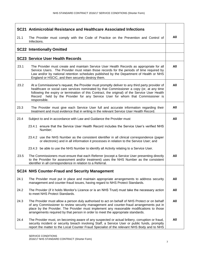|      | SC21 Antimicrobial Resistance and Healthcare Associated Infections                                                                                                                                                                                                                                                                                                                                 |     |
|------|----------------------------------------------------------------------------------------------------------------------------------------------------------------------------------------------------------------------------------------------------------------------------------------------------------------------------------------------------------------------------------------------------|-----|
| 21.1 | The Provider must comply with the Code of Practice on the Prevention and Control of<br>Infections.                                                                                                                                                                                                                                                                                                 | All |
|      | <b>SC22 Intentionally Omitted</b>                                                                                                                                                                                                                                                                                                                                                                  |     |
|      | <b>SC23 Service User Health Records</b>                                                                                                                                                                                                                                                                                                                                                            |     |
| 23.1 | The Provider must create and maintain Service User Health Records as appropriate for all<br>Service Users. The Provider must retain those records for the periods of time required by<br>Law and/or by national retention schedules published by the Department of Health or NHS<br>England or HSCIC, and then securely destroy them.                                                              | All |
| 23.2 | At a Commissioner's request, the Provider must promptly deliver to any third party provider of<br>healthcare or social care services nominated by that Commissioner a copy (or, at any time<br>following the expiry or termination of this Contract, the original) of the Service User Health<br>held by the Provider for any Service User for whom that Commissioner is<br>Record<br>responsible. | All |
| 23.3 | The Provider must give each Service User full and accurate information regarding their<br>treatment and must evidence that in writing in the relevant Service User Health Record.                                                                                                                                                                                                                  | All |
| 23.4 | Subject to and in accordance with Law and Guidance the Provider must                                                                                                                                                                                                                                                                                                                               | All |
|      | 23.4.1 ensure that the Service User Health Record includes the Service User's verified NHS<br>Number;                                                                                                                                                                                                                                                                                              |     |
|      | 23.4.2 use the NHS Number as the consistent identifier in all clinical correspondence (paper<br>or electronic) and in all information it processes in relation to the Service User; and                                                                                                                                                                                                            |     |
|      | 23.4.3 be able to use the NHS Number to identify all Activity relating to a Service User.                                                                                                                                                                                                                                                                                                          |     |
| 23.5 | The Commissioners must ensure that each Referrer (except a Service User presenting directly<br>to the Provider for assessment and/or treatment) uses the NHS Number as the consistent<br>identifier in all correspondence in relation to a Referral.                                                                                                                                               | All |
|      | <b>SC24 NHS Counter-Fraud and Security Management</b>                                                                                                                                                                                                                                                                                                                                              |     |
| 24.1 | The Provider must put in place and maintain appropriate arrangements to address security<br>management and counter-fraud issues, having regard to NHS Protect Standards.                                                                                                                                                                                                                           | All |
| 24.2 | The Provider (if it holds Monitor's Licence or is an NHS Trust) must take the necessary action<br>to meet NHS Protect Standards.                                                                                                                                                                                                                                                                   | All |
| 24.3 | The Provider must allow a person duly authorised to act on behalf of NHS Protect or on behalf<br>of any Commissioner to review security management and counter-fraud arrangements put in<br>place by the Provider. The Provider must implement any reasonable modifications to those<br>arrangements required by that person in order to meet the appropriate standards.                           | All |
| 24.4 | The Provider must, on becoming aware of any suspected or actual bribery, corruption or fraud,<br>security incident or security breach involving Staff, a Service User or public funds, promptly<br>report the matter to the Local Counter Fraud Specialist of the relevant NHS Body and to NHS                                                                                                     | All |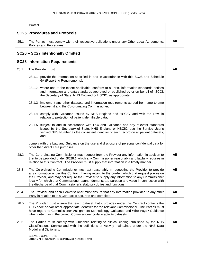|      | Protect.                                                                                                                                                                                                                                                                                                                                                                                                                                                         |     |
|------|------------------------------------------------------------------------------------------------------------------------------------------------------------------------------------------------------------------------------------------------------------------------------------------------------------------------------------------------------------------------------------------------------------------------------------------------------------------|-----|
|      | <b>SC25 Procedures and Protocols</b>                                                                                                                                                                                                                                                                                                                                                                                                                             |     |
| 25.1 | The Parties must comply with their respective obligations under any Other Local Agreements,<br>Policies and Procedures.                                                                                                                                                                                                                                                                                                                                          | All |
|      | SC26 - SC27 Intentionally Omitted                                                                                                                                                                                                                                                                                                                                                                                                                                |     |
|      | <b>SC28 Information Requirements</b>                                                                                                                                                                                                                                                                                                                                                                                                                             |     |
| 28.1 | The Provider must:                                                                                                                                                                                                                                                                                                                                                                                                                                               | All |
|      | 28.1.1 provide the information specified in and in accordance with this SC28 and Schedule<br>6A (Reporting Requirements);                                                                                                                                                                                                                                                                                                                                        |     |
|      | 28.1.2 where and to the extent applicable, conform to all NHS information standards notices<br>and information and data standards approved or published by or on behalf of SCCI,<br>the Secretary of State, NHS England or HSCIC, as appropriate;                                                                                                                                                                                                                |     |
|      | 28.1.3 implement any other datasets and information requirements agreed from time to time<br>between it and the Co-ordinating Commissioner;                                                                                                                                                                                                                                                                                                                      |     |
|      | 28.1.4 comply with Guidance issued by NHS England and HSCIC, and with the Law, in<br>relation to protection of patient identifiable data;                                                                                                                                                                                                                                                                                                                        |     |
|      | 28.1.5 subject to and in accordance with Law and Guidance and any relevant standards<br>issued by the Secretary of State, NHS England or HSCIC, use the Service User's<br>verified NHS Number as the consistent identifier of each record on all patient datasets;<br>and                                                                                                                                                                                        |     |
|      | comply with the Law and Guidance on the use and disclosure of personal confidential data for<br>other than direct care purposes.                                                                                                                                                                                                                                                                                                                                 |     |
| 28.2 | The Co-ordinating Commissioner may request from the Provider any information in addition to<br>that to be provided under SC28.1 which any Commissioner reasonably and lawfully requires in<br>relation to this Contract. The Provider must supply that information in a timely manner.                                                                                                                                                                           | All |
| 28.3 | The Co-ordinating Commissioner must act reasonably in requesting the Provider to provide<br>any information under this Contract, having regard to the burden which that request places on<br>the Provider, and may not require the Provider to supply any information to any Commissioner<br>locally for which that Commissioner cannot demonstrate purpose and value in connection with<br>the discharge of that Commissioner's statutory duties and functions. | All |
| 28.4 | The Provider and each Commissioner must ensure that any information provided to any other<br>Party in relation to this Contract is accurate and complete.                                                                                                                                                                                                                                                                                                        | All |
| 28.5 | The Provider must ensure that each dataset that it provides under this Contract contains the<br>ODS code and/or other appropriate identifier for the relevant Commissioner. The Parties must<br>have regard to Commissioner Assignment Methodology Guidance and Who Pays? Guidance<br>when determining the correct Commissioner code in activity datasets.                                                                                                       | All |
| 28.6 | The Parties must comply with Guidance relating to clinical coding published by the NHS<br>Classifications Service and with the definitions of Activity maintained under the NHS Data<br>Model and Dictionary.                                                                                                                                                                                                                                                    | All |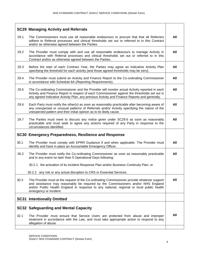|      | <b>SC29 Managing Activity and Referrals</b>                                                                                                                                                                                                                                                             |     |
|------|---------------------------------------------------------------------------------------------------------------------------------------------------------------------------------------------------------------------------------------------------------------------------------------------------------|-----|
| 29.1 | The Commissioners must use all reasonable endeavours to procure that that all Referrers<br>adhere to Referral processes and clinical thresholds set out or referred to in this Contract<br>and/or as otherwise agreed between the Parties.                                                              | All |
| 29.2 | The Provider must comply with and use all reasonable endeavours to manage Activity in<br>accordance with Referral processes and clinical thresholds set out or referred to in this<br>Contract and/or as otherwise agreed between the Parties.                                                          | All |
| 29.3 | Before the start of each Contract Year, the Parties may agree an Indicative Activity Plan<br>specifying the threshold for each activity (and those agreed thresholds may be zero).                                                                                                                      | All |
| 29.4 | The Provider must submit an Activity and Finance Report to the Co-ordinating Commissioner<br>in accordance with Schedule 6A (Reporting Requirements).                                                                                                                                                   | All |
| 29.5 | The Co-ordinating Commissioner and the Provider will monitor actual Activity reported in each<br>Activity and Finance Report in respect of each Commissioner against the thresholds set out in<br>any agreed Indicative Activity Plan, any previous Activity and Finance Reports and generally.         | All |
| 29.6 | Each Party must notify the other(s) as soon as reasonably practicable after becoming aware of<br>any unexpected or unusual patterns of Referrals and/or Activity specifying the nature of the<br>unexpected pattern and their initial opinion as to its likely cause.                                   | All |
| 29.7 | The Parties must meet to discuss any notice given under SC29.6 as soon as reasonably<br>practicable and must seek to agree any actions required of any Party in response to the<br>circumstances identified.                                                                                            | All |
|      | SC30 Emergency Preparedness, Resilience and Response                                                                                                                                                                                                                                                    |     |
| 30.1 | The Provider must comply with EPRR Guidance if and when applicable. The Provider must<br>identify and have in place an Accountable Emergency Officer.                                                                                                                                                   | All |
| 30.2 | The Provider must notify the Co-ordinating Commissioner as soon as reasonably practicable<br>and in any event no later than 5 Operational Days following:                                                                                                                                               | All |
|      | 30.2.1 the activation of its Incident Response Plan and/or Business Continuity Plan; or                                                                                                                                                                                                                 |     |
|      | 30.2.2 any risk or any actual disruption to CRS or Essential Services.                                                                                                                                                                                                                                  |     |
| 30.3 | The Provider must at the request of the Co-ordinating Commissioner provide whatever support<br>and assistance may reasonably be required by the Commissioners and/or NHS England<br>and/or Public Health England in response to any national, regional or local public health<br>emergency or incident. | All |
|      | <b>SC31 Intentionally Omitted</b>                                                                                                                                                                                                                                                                       |     |
|      | <b>SC32 Safeguarding and Mental Capacity</b>                                                                                                                                                                                                                                                            |     |
| 32.1 | The Provider must ensure that Service Users are protected from abuse and improper<br>treatment in accordance with the Law, and must take appropriate action to respond to any<br>allegation of abuse.                                                                                                   | All |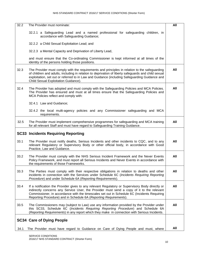| 32.2 | The Provider must nominate:                                                                                                                                                                                                                                                                                                                                      | All |
|------|------------------------------------------------------------------------------------------------------------------------------------------------------------------------------------------------------------------------------------------------------------------------------------------------------------------------------------------------------------------|-----|
|      | 32.2.1 a Safeguarding Lead and a named professional for safeguarding children, in<br>accordance with Safeguarding Guidance;                                                                                                                                                                                                                                      |     |
|      | 32.2.2 a Child Sexual Exploitation Lead; and                                                                                                                                                                                                                                                                                                                     |     |
|      | 32.2.3 a Mental Capacity and Deprivation of Liberty Lead,                                                                                                                                                                                                                                                                                                        |     |
|      | and must ensure that the Co-ordinating Commissioner is kept informed at all times of the<br>identity of the persons holding those positions.                                                                                                                                                                                                                     |     |
| 32.3 | The Provider must comply with the requirements and principles in relation to the safeguarding<br>of children and adults, including in relation to deprivation of liberty safeguards and child sexual<br>exploitation, set out or referred to in Law and Guidance (including Safeguarding Guidance and<br>Child Sexual Exploitation Guidance).                    | All |
| 32.4 | The Provider has adopted and must comply with the Safeguarding Policies and MCA Policies.<br>The Provider has ensured and must at all times ensure that the Safeguarding Policies and<br>MCA Policies reflect and comply with:                                                                                                                                   | All |
|      | 32.4.1 Law and Guidance;                                                                                                                                                                                                                                                                                                                                         |     |
|      | 32.4.2 the local multi-agency policies and any Commissioner safeguarding and MCA<br>requirements.                                                                                                                                                                                                                                                                |     |
| 32.5 | The Provider must implement comprehensive programmes for safeguarding and MCA training<br>for all relevant Staff and must have regard to Safeguarding Training Guidance.                                                                                                                                                                                         | All |
|      | <b>SC33 Incidents Requiring Reporting</b>                                                                                                                                                                                                                                                                                                                        |     |
|      |                                                                                                                                                                                                                                                                                                                                                                  |     |
| 33.1 | The Provider must notify deaths, Serious Incidents and other incidents to CQC, and to any<br>relevant Regulatory or Supervisory Body or other official body, in accordance with Good<br>Practice, Law and Guidance.                                                                                                                                              | All |
| 33.2 | The Provider must comply with the NHS Serious Incident Framework and the Never Events<br>Policy Framework, and must report all Serious Incidents and Never Events in accordance with<br>the requirements of those Frameworks.                                                                                                                                    | All |
| 33.3 | The Parties must comply with their respective obligations in relation to deaths and other<br>incidents in connection with the Services under Schedule 6C (Incidents Requiring Reporting<br>Procedure) and under Schedule 6A (Reporting Requirements).                                                                                                            | All |
| 33.4 | If a notification the Provider gives to any relevant Regulatory or Supervisory Body directly or<br>indirectly concerns any Service User, the Provider must send a copy of it to the relevant<br>Commissioner, in accordance with the timescales set out in Schedule 6C (Incidents Requiring<br>Reporting Procedure) and in Schedule 6A (Reporting Requirements). | All |
| 33.5 | The Commissioners may (subject to Law) use any information provided by the Provider under<br>this SC33, Schedule 6C (Incidents Requiring Reporting Procedure) and Schedule 6A<br>(Reporting Requirements) in any report which they make in connection with Serious Incidents.                                                                                    | All |
|      | <b>SC34 Care of Dying People</b>                                                                                                                                                                                                                                                                                                                                 |     |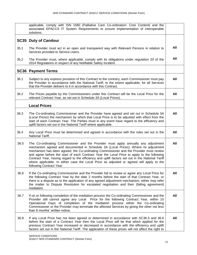|      | applicable, comply with ISN 1580 (Palliative Care Co-ordination: Core Content) and the<br>associated EPACCS IT System Requirements to ensure implementation of interoperable<br>solutions.                                                                                                                                                                                                                                                                                                                                                                                                   |     |
|------|----------------------------------------------------------------------------------------------------------------------------------------------------------------------------------------------------------------------------------------------------------------------------------------------------------------------------------------------------------------------------------------------------------------------------------------------------------------------------------------------------------------------------------------------------------------------------------------------|-----|
|      | <b>SC35 Duty of Candour</b>                                                                                                                                                                                                                                                                                                                                                                                                                                                                                                                                                                  |     |
| 35.1 | The Provider must act in an open and transparent way with Relevant Persons in relation to<br>Services provided to Service Users.                                                                                                                                                                                                                                                                                                                                                                                                                                                             | All |
| 35.2 | The Provider must, where applicable, comply with its obligations under regulation 20 of the<br>2014 Regulations in respect of any Notifiable Safety Incident.                                                                                                                                                                                                                                                                                                                                                                                                                                | All |
|      | <b>SC36 Payment Terms</b>                                                                                                                                                                                                                                                                                                                                                                                                                                                                                                                                                                    |     |
| 36.1 | Subject to any express provision of this Contract to the contrary, each Commissioner must pay<br>the Provider in accordance with the National Tariff, to the extent applicable, for all Services<br>that the Provider delivers to it in accordance with this Contract.                                                                                                                                                                                                                                                                                                                       | All |
| 36.2 | The Prices payable by the Commissioners under this Contract will be the Local Price for the<br>relevant Contract Year, as set out in Schedule 3A (Local Prices).                                                                                                                                                                                                                                                                                                                                                                                                                             | All |
|      | <b>Local Prices</b>                                                                                                                                                                                                                                                                                                                                                                                                                                                                                                                                                                          |     |
| 36.3 | The Co-ordinating Commissioner and the Provider have agreed and set out in Schedule 3A<br>(Local Prices) the mechanism by which that Local Price is to be adjusted with effect from the<br>start of each Contract Year. The Parties must in any event have regard to the efficiency and<br>uplift factors set out in the National Tariff where applicable.                                                                                                                                                                                                                                   | All |
| 36.4 | Any Local Price must be determined and agreed in accordance with the rules set out in the<br>National Tariff.                                                                                                                                                                                                                                                                                                                                                                                                                                                                                | All |
| 36.5 | The Co-ordinating Commissioner and the Provider must apply annually any adjustment<br>mechanism agreed and documented in Schedule 3A (Local Prices). Where no adjustment<br>mechanism has been agreed, the Co-ordinating Commissioner and the Provider must review<br>and agree before the start of each Contract Year the Local Price to apply to the following<br>Contract Year, having regard to the efficiency and uplift factors set out in the National Tariff<br>where applicable. In either case the Local Price as adjusted or agreed will apply to the<br>following Contract Year. | All |
| 36.6 | If the Co-ordinating Commissioner and the Provider fail to review or agree any Local Price for<br>the following Contract Year by the date 2 months before the start of that Contract Year, or<br>there is a dispute as to the application of any agreed adjustment mechanism, either may refer<br>the matter to Dispute Resolution for escalated negotiation and then (failing agreement)<br>mediation.                                                                                                                                                                                      | All |
| 36.7 | If on or following completion of the mediation process the Co-ordinating Commissioner and the<br>Provider still cannot agree any Local Price for the following Contract Year, within 10<br>Operational Days of completion of the mediation process either the Co-ordinating<br>Commissioner or the Provider may terminate the affected Services by giving the other not less<br>than 6 months' written notice.                                                                                                                                                                               | All |
| 36.8 | If any Local Price has not been agreed or determined in accordance with SC36.5 and 36.6<br>before the start of a Contract Year then the Local Price will be that which applied for the<br>previous Contract Year increased or decreased in accordance with the efficiency and uplift<br>factors set out in the National Tariff. The application of these prices will not affect the right to                                                                                                                                                                                                 | All |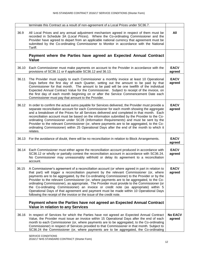|       | terminate this Contract as a result of non-agreement of a Local Prices under SC36.7.                                                                                                                                                                                                                                                                                                                                                                                                                                                                                                                                                                                                                                                             |                          |
|-------|--------------------------------------------------------------------------------------------------------------------------------------------------------------------------------------------------------------------------------------------------------------------------------------------------------------------------------------------------------------------------------------------------------------------------------------------------------------------------------------------------------------------------------------------------------------------------------------------------------------------------------------------------------------------------------------------------------------------------------------------------|--------------------------|
| 36.9  | All Local Prices and any annual adjustment mechanism agreed in respect of them must be<br>recorded in Schedule 3A (Local Prices). Where the Co-ordinating Commissioner and the<br>Provider have agreed to depart from an applicable national currency that agreement must be<br>submitted by the Co-ordinating Commissioner to Monitor in accordance with the National<br>Tariff.                                                                                                                                                                                                                                                                                                                                                                | All                      |
|       | Payment where the Parties have agreed an Expected Annual Contract<br>Value                                                                                                                                                                                                                                                                                                                                                                                                                                                                                                                                                                                                                                                                       |                          |
| 36.10 | Each Commissioner must make payments on account to the Provider in accordance with the<br>provisions of SC36.11 or if applicable SC36.12 and 36.13.                                                                                                                                                                                                                                                                                                                                                                                                                                                                                                                                                                                              | <b>EACV</b><br>agreed    |
| 36.11 | The Provider must supply to each Commissioner a monthly invoice at least 10 Operational<br>Days before the first day of each Quarter, setting out the amount to be paid by that<br>Commissioner for that month. The amount to be paid will be one twelfth of the individual<br>Expected Annual Contract Value for the Commissioner. Subject to receipt of the invoice, on<br>the first day of each month beginning on or after the Service Commencement Date each<br>Commissioner must pay that amount to the Provider.                                                                                                                                                                                                                          | <b>EACV</b><br>agreed    |
| 36.12 | In order to confirm the actual sums payable for Services delivered, the Provider must provide a<br>separate reconciliation account for each Commissioner for each month showing the aggregate<br>and a breakdown of the Prices for all Services delivered and completed in that month. Each<br>reconciliation account must be based on the information submitted by the Provider to the Co-<br>ordinating Commissioner under SC28 (Information Requirements) and must be sent by the<br>Provider to the relevant Commissioner (or, where payments are to be aggregated, to the Co-<br>ordinating Commissioner) within 25 Operational Days after the end of the month to which it<br>relates.                                                     | <b>EACV</b><br>agreed    |
|       | 36.13 For the avoidance of doubt, there will be no reconciliation in relation to Block Arrangements.                                                                                                                                                                                                                                                                                                                                                                                                                                                                                                                                                                                                                                             | <b>EACV</b><br>agreed    |
| 36.14 | Each Commissioner must either agree the reconciliation account produced in accordance with<br>SC36.12 or wholly or partially contest the reconciliation account in accordance with SC36.24.<br>No Commissioner may unreasonably withhold or delay its agreement to a reconciliation<br>account.                                                                                                                                                                                                                                                                                                                                                                                                                                                  | <b>EACV</b><br>agreed    |
| 36.15 | A Commissioner's agreement of a reconciliation account (or where agreed in part in relation to<br>that part) will trigger a reconciliation payment by the relevant Commissioner (or, where<br>payments are to be aggregated, by the Co-ordinating Commissioner) to the Provider or by the<br>Provider to the relevant Commissioner (or, where payments are to be aggregated, to the Co-<br>ordinating Commissioner), as appropriate. The Provider must provide to the Commissioner (or<br>the Co-ordinating Commissioner) an invoice or credit note (as appropriate) within 5<br>Operational Days of that agreement and payment must be made within 10 Operational Days<br>following the receipt of the invoice or the issue of the credit note. | <b>EACV</b><br>agreed    |
|       | Payment where the Parties have not agreed an Expected Annual Contract<br><b>Value in relation to any Services</b>                                                                                                                                                                                                                                                                                                                                                                                                                                                                                                                                                                                                                                |                          |
| 36.16 | In respect of Services for which the Parties have not agreed an Expected Annual Contract<br>Value, the Provider must issue an invoice within 15 Operational Days after the end of each<br>month to each Commissioner (or, where payments are to be aggregated, to the Co-ordinating<br>Commissioner) in respect of Services provided to that Commissioner in that month. Subject to<br>SC36.24 the Commissioner (or, where payments are to be aggregated, the Co-ordinating                                                                                                                                                                                                                                                                      | <b>No EACV</b><br>agreed |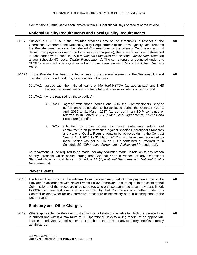|       | Commissioner) must settle each invoice within 10 Operational Days of receipt of the invoice.                                                                                                                                                                                                                                                                                                                                                                                                                                                                                                                                                                                |     |
|-------|-----------------------------------------------------------------------------------------------------------------------------------------------------------------------------------------------------------------------------------------------------------------------------------------------------------------------------------------------------------------------------------------------------------------------------------------------------------------------------------------------------------------------------------------------------------------------------------------------------------------------------------------------------------------------------|-----|
|       | <b>National Quality Requirements and Local Quality Requirements</b>                                                                                                                                                                                                                                                                                                                                                                                                                                                                                                                                                                                                         |     |
| 36.17 | Subject to SC36.17A, if the Provider breaches any of the thresholds in respect of the<br>Operational Standards, the National Quality Requirements or the Local Quality Requirements<br>the Provider must repay to the relevant Commissioner or the relevant Commissioner must<br>deduct from payments due to the Provider (as appropriate), the relevant sums as determined<br>in accordance with Schedule 4A (Operational Standards and National Quality Requirements)<br>and/or Schedule 4C (Local Quality Requirements). The sums repaid or deducted under this<br>SC36.17 in respect of any Quarter will not in any event exceed 2.5% of the Actual Quarterly<br>Value. | All |
|       | 36.17A If the Provider has been granted access to the general element of the Sustainability and<br>Transformation Fund, and has, as a condition of access:                                                                                                                                                                                                                                                                                                                                                                                                                                                                                                                  | All |
|       | 36.17A.1<br>agreed with the national teams of Monitor/NHSTDA (as appropriate) and NHS<br>England an overall financial control total and other associated conditions; and                                                                                                                                                                                                                                                                                                                                                                                                                                                                                                    |     |
|       | 36.17A.2 (where required by those bodies):                                                                                                                                                                                                                                                                                                                                                                                                                                                                                                                                                                                                                                  |     |
|       | 36.17A2.1<br>agreed with those bodies and with the Commissioners specific<br>performance trajectories to be achieved during the Contract Year 1<br>April 2016 to 31 March 2017 (as set out in an SDIP contained or<br>referred to in Schedule 2G (Other Local Agreements, Policies and<br>Procedures));and/or                                                                                                                                                                                                                                                                                                                                                               |     |
|       | 36.17A2.2 submitted to those bodies assurance statements setting out<br>commitments on performance against specific Operational Standards<br>and National Quality Requirements to be achieved during the Contract<br>Year 1 April 2016 to 31 March 2017 which have been accepted by<br>those bodies (as set out in an SDIP contained or referred to in<br>Schedule 2G (Other Local Agreements, Policies and Procedures)),                                                                                                                                                                                                                                                   |     |
|       | no repayment will be required to be made, nor any deduction made, in relation to any breach<br>of any threshold which occurs during that Contract Year in respect of any Operational<br>Standard shown in bold italics in Schedule 4A (Operational Standards and National Quality<br>Requirements).                                                                                                                                                                                                                                                                                                                                                                         |     |
|       | <b>Never Events</b>                                                                                                                                                                                                                                                                                                                                                                                                                                                                                                                                                                                                                                                         |     |
| 36.18 | If a Never Event occurs, the relevant Commissioner may deduct from payments due to the<br>Provider, in accordance with Never Events Policy Framework, a sum equal to the costs to that<br>Commissioner of the procedure or episode (or, where these cannot be accurately established,<br>£2,000) plus any additional charges incurred by that Commissioner (whether under this<br>Contract or otherwise) for any corrective procedure or necessary care in consequence of the<br>Never Event.                                                                                                                                                                               | All |
|       | <b>Statutory and Other Charges</b>                                                                                                                                                                                                                                                                                                                                                                                                                                                                                                                                                                                                                                          |     |
| 36.19 | Where applicable, the Provider must administer all statutory benefits to which the Service User<br>is entitled and within a maximum of 20 Operational Days following receipt of an appropriate<br>invoice the relevant Commissioner must reimburse the Provider any statutory benefits correctly<br>administered.                                                                                                                                                                                                                                                                                                                                                           | All |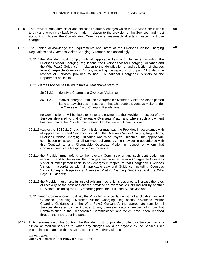36.20 The Provider must administer and collect all statutory charges which the Service User is liable to pay and which may lawfully be made in relation to the provision of the Services, and must account to whoever the Co-ordinating Commissioner reasonably directs in respect of those charges. 36.21 The Parties acknowledge the requirements and intent of the Overseas Visitor Charging Regulations and Overseas Visitor Charging Guidance, and accordingly: 36.21.1 the Provider must comply with all applicable Law and Guidance (including the Overseas Visitor Charging Regulations, the Overseas Visitor Charging Guidance and the Who Pays? Guidance) in relation to the identification of and collection of charges from Chargeable Overseas Visitors, including the reporting of unpaid NHS debts in respect of Services provided to non-EEA national Chargeable Visitors to the Department of Health; 36.21.2 if the Provider has failed to take all reasonable steps to: 36.21.2.1 identify a Chargeable Overseas Visitor; or 36.21.2.2 recover charges from the Chargeable Overseas Visitor or other person liable to pay charges in respect of that Chargeable Overseas Visitor under the Overseas Visitor Charging Regulations, no Commissioner will be liable to make any payment to the Provider in respect of any Services delivered to that Chargeable Overseas Visitor and where such a payment has been made the Provider must refund it to the relevant Commissioner; 36.21.3 (subject to SC36.21.2) each Commissioner must pay the Provider, in accordance with all applicable Law and Guidance (including the Overseas Visitor Charging Regulations, Overseas Visitor Charging Guidance and Who Pays? Guidance), the appropriate contribution on account for all Services delivered by the Provider in accordance with this Contract to any Chargeable Overseas Visitor in respect of whom that Commissioner is the Responsible Commissioner; 36.21.4 the Provider must refund to the relevant Commissioner any such contribution on account if and to the extent that charges are collected from a Chargeable Overseas Visitor or other person liable to pay charges in respect of that Chargeable Overseas Visitor, in accordance with all applicable Law and Guidance (including Overseas Visitor Charging Regulations, Overseas Visitor Charging Guidance and the Who Pays? Guidance); 36.21.5 the Provider must make full use of existing mechanisms designed to increase the rates of recovery of the cost of Services provided to overseas visitors insured by another EEA state, including the EEA reporting portal for EHIC and S2 activity; and 36.21.6 each Commissioner must pay the Provider, in accordance with all applicable Law and Guidance (including Overseas Visitor Charging Regulations, Overseas Visitor Charging Guidance and the Who Pays? Guidance), the appropriate sum for all Services delivered by the Provider to any overseas visitor in respect of whom that Commissioner is the Responsible Commissioner and which have been reported through the EEA reporting portal. **All All** 36.22 In its performance of this Contract the Provider must not provide or offer to a Service User any clinical or medical services for which any charges would be payable by the Service User **All**

except in accordance with this Contract, the Law and/or Guidance.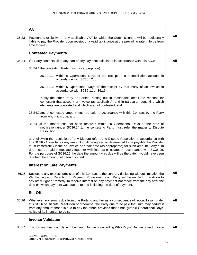|       | <b>VAT</b>                                                                                                                                                                                                                                                                                                                                                                                                                                                                                                                        |     |
|-------|-----------------------------------------------------------------------------------------------------------------------------------------------------------------------------------------------------------------------------------------------------------------------------------------------------------------------------------------------------------------------------------------------------------------------------------------------------------------------------------------------------------------------------------|-----|
| 36.23 | Payment is exclusive of any applicable VAT for which the Commissioners will be additionally<br>liable to pay the Provider upon receipt of a valid tax invoice at the prevailing rate in force from<br>time to time.                                                                                                                                                                                                                                                                                                               | All |
|       | <b>Contested Payments</b>                                                                                                                                                                                                                                                                                                                                                                                                                                                                                                         |     |
| 36.24 | If a Party contests all or any part of any payment calculated in accordance with this SC36:                                                                                                                                                                                                                                                                                                                                                                                                                                       | All |
|       | 36.24.1 the contesting Party must (as appropriate):                                                                                                                                                                                                                                                                                                                                                                                                                                                                               |     |
|       | 36.24.1.1 within 5 Operational Days of the receipt of a reconciliation account in<br>accordance with SC36.12; or                                                                                                                                                                                                                                                                                                                                                                                                                  |     |
|       | 36.24.1.2 within 5 Operational Days of the receipt by that Party of an invoice in<br>accordance with SC36.11 or 36.16,                                                                                                                                                                                                                                                                                                                                                                                                            |     |
|       | notify the other Party or Parties, setting out in reasonable detail the reasons for<br>contesting that account or invoice (as applicable), and in particular identifying which<br>elements are contested and which are not contested; and                                                                                                                                                                                                                                                                                         |     |
|       | 36.24.2 any uncontested amount must be paid in accordance with this Contract by the Party<br>from whom it is due; and                                                                                                                                                                                                                                                                                                                                                                                                             |     |
|       | 36.24.3 if the matter has not been resolved within 20 Operational Days of the date of<br>notification under SC36.24.1, the contesting Party must refer the matter to Dispute<br>Resolution,                                                                                                                                                                                                                                                                                                                                       |     |
|       | and following the resolution of any Dispute referred to Dispute Resolution in accordance with<br>this SC36.24, insofar as any amount shall be agreed or determined to be payable the Provider<br>must immediately issue an invoice or credit note (as appropriate) for such amount. Any sum<br>due must be paid immediately together with interest calculated in accordance with SC36.25.<br>For the purposes of SC36.25 the date the amount was due will be the date it would have been<br>due had the amount not been disputed. |     |
|       | <b>Interest on Late Payments</b>                                                                                                                                                                                                                                                                                                                                                                                                                                                                                                  |     |
| 36.25 | Subject to any express provision of this Contract to the contrary (including without limitation the<br>Withholding and Retention of Payment Provisions), each Party will be entitled, in addition to<br>any other right or remedy, to receive Interest on any payment not made from the day after the<br>date on which payment was due up to and including the date of payment.                                                                                                                                                   | All |
|       | <b>Set Off</b>                                                                                                                                                                                                                                                                                                                                                                                                                                                                                                                    |     |
| 36.26 | Whenever any sum is due from one Party to another as a consequence of reconciliation under<br>this SC36 or Dispute Resolution or otherwise, the Party due to be paid that sum may deduct it<br>from any amount that it is due to pay the other, provided that it has given 5 Operational Days'<br>notice of its intention to do so.                                                                                                                                                                                               | All |
|       | <b>Invoice Validation</b>                                                                                                                                                                                                                                                                                                                                                                                                                                                                                                         |     |
| 36.27 | The Parties must comply with Law and Guidance (including Who Pays? Guidance and Invoice                                                                                                                                                                                                                                                                                                                                                                                                                                           | All |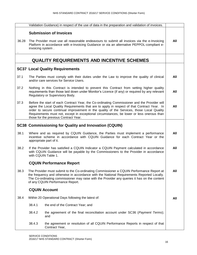|       |                                                                                                                                                                                                           | Validation Guidance) in respect of the use of data in the preparation and validation of invoices.                                                                                                                                                                                                                                                                                                                              |     |
|-------|-----------------------------------------------------------------------------------------------------------------------------------------------------------------------------------------------------------|--------------------------------------------------------------------------------------------------------------------------------------------------------------------------------------------------------------------------------------------------------------------------------------------------------------------------------------------------------------------------------------------------------------------------------|-----|
|       |                                                                                                                                                                                                           | <b>Submission of Invoices</b>                                                                                                                                                                                                                                                                                                                                                                                                  |     |
| 36.28 | invoicing system.                                                                                                                                                                                         | The Provider must use all reasonable endeavours to submit all invoices via the e-Invoicing<br>Platform in accordance with e-Invoicing Guidance or via an alternative PEPPOL-compliant e-                                                                                                                                                                                                                                       | All |
|       |                                                                                                                                                                                                           | <b>QUALITY REQUIREMENTS AND INCENTIVE SCHEMES</b>                                                                                                                                                                                                                                                                                                                                                                              |     |
|       |                                                                                                                                                                                                           | <b>SC37 Local Quality Requirements</b>                                                                                                                                                                                                                                                                                                                                                                                         |     |
| 37.1  |                                                                                                                                                                                                           | The Parties must comply with their duties under the Law to improve the quality of clinical<br>and/or care services for Service Users.                                                                                                                                                                                                                                                                                          | All |
| 37.2  |                                                                                                                                                                                                           | Nothing in this Contract is intended to prevent this Contract from setting higher quality<br>requirements than those laid down under Monitor's Licence (if any) or required by any relevant<br>Regulatory or Supervisory Body.                                                                                                                                                                                                 | All |
| 37.3  |                                                                                                                                                                                                           | Before the start of each Contract Year, the Co-ordinating Commissioner and the Provider will<br>agree the Local Quality Requirements that are to apply in respect of that Contract Year. In<br>order to secure continual improvement in the quality of the Services, those Local Quality<br>Requirements must not, except in exceptional circumstances, be lower or less onerous than<br>those for the previous Contract Year. | All |
|       |                                                                                                                                                                                                           | <b>SC38 Commissioning for Quality and Innovation (CQUIN)</b>                                                                                                                                                                                                                                                                                                                                                                   |     |
| 38.1  | Where and as required by CQUIN Guidance, the Parties must implement a performance<br>incentive scheme in accordance with CQUIN Guidance for each Contract Year or the<br>appropriate part of it.          |                                                                                                                                                                                                                                                                                                                                                                                                                                | All |
| 38.2  | If the Provider has satisfied a CQUIN Indicator a CQUIN Payment calculated in accordance<br>with CQUIN Guidance will be payable by the Commissioners to the Provider in accordance<br>with CQUIN Table 1. |                                                                                                                                                                                                                                                                                                                                                                                                                                |     |
|       |                                                                                                                                                                                                           | <b>CQUIN Performance Report</b>                                                                                                                                                                                                                                                                                                                                                                                                |     |
| 38.3  |                                                                                                                                                                                                           | The Provider must submit to the Co-ordinating Commissioner a CQUIN Performance Report at<br>the frequency and otherwise in accordance with the National Requirements Reported Locally.<br>The Co-ordinating commissioner may raise with the Provider any queries it has on the content<br>of any CQUIN Performance Report.                                                                                                     | All |
|       |                                                                                                                                                                                                           | <b>CQUIN Account</b>                                                                                                                                                                                                                                                                                                                                                                                                           |     |
| 38.4  |                                                                                                                                                                                                           | Within 20 Operational Days following the latest of:                                                                                                                                                                                                                                                                                                                                                                            | All |
|       | 38.4.1                                                                                                                                                                                                    | the end of the Contract Year; and                                                                                                                                                                                                                                                                                                                                                                                              |     |
|       | 38.4.2                                                                                                                                                                                                    | the agreement of the final reconciliation account under SC36 (Payment Terms);<br>and                                                                                                                                                                                                                                                                                                                                           |     |
|       | 38.4.3                                                                                                                                                                                                    | the agreement or resolution of all CQUIN Performance Reports in respect of that<br>Contract Year,                                                                                                                                                                                                                                                                                                                              |     |